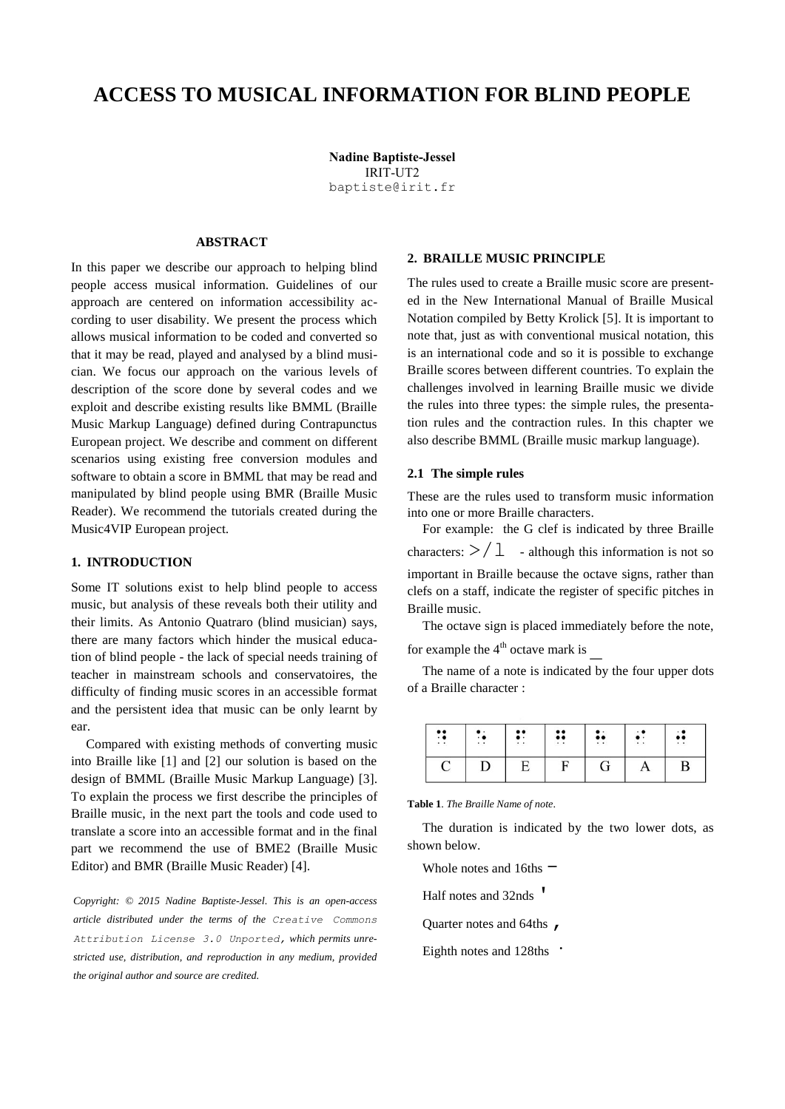# **ACCESS TO MUSICAL INFORMATION FOR BLIND PEOPLE**

**Nadine Baptiste-Jessel** IRIT-UT2 [baptiste@irit.fr](mailto:baptiste@irit.fr)

# **ABSTRACT**

In this paper we describe our approach to helping blind people access musical information. Guidelines of our approach are centered on information accessibility according to user disability. We present the process which allows musical information to be coded and converted so that it may be read, played and analysed by a blind musician. We focus our approach on the various levels of description of the score done by several codes and we exploit and describe existing results like BMML (Braille Music Markup Language) defined during Contrapunctus European project. We describe and comment on different scenarios using existing free conversion modules and software to obtain a score in BMML that may be read and manipulated by blind people using BMR (Braille Music Reader). We recommend the tutorials created during the Music4VIP European project.

# **1. INTRODUCTION**

Some IT solutions exist to help blind people to access music, but analysis of these reveals both their utility and their limits. As Antonio Quatraro (blind musician) says, there are many factors which hinder the musical education of blind people - the lack of special needs training of teacher in mainstream schools and conservatoires, the difficulty of finding music scores in an accessible format and the persistent idea that music can be only learnt by ear.

Compared with existing methods of converting music into Braille like [1] and [2] our solution is based on the design of BMML (Braille Music Markup Language) [3]. To explain the process we first describe the principles of Braille music, in the next part the tools and code used to translate a score into an accessible format and in the final part we recommend the use of BME2 (Braille Music Editor) and BMR (Braille Music Reader) [4].

*Copyright: © 2015 Nadine Baptiste-Jessel. This is an open-access article distributed under the terms of the [Creative Commons](http://creativecommons.org/licenses/by/3.0/)  [Attribution License 3.0 Unported,](http://creativecommons.org/licenses/by/3.0/) which permits unrestricted use, distribution, and reproduction in any medium, provided the original author and source are credited.*

## **2. BRAILLE MUSIC PRINCIPLE**

The rules used to create a Braille music score are presented in the New International Manual of Braille Musical Notation compiled by Betty Krolick [5]. It is important to note that, just as with conventional musical notation, this is an international code and so it is possible to exchange Braille scores between different countries. To explain the challenges involved in learning Braille music we divide the rules into three types: the simple rules, the presentation rules and the contraction rules. In this chapter we also describe BMML (Braille music markup language).

### **2.1 The simple rules**

These are the rules used to transform music information into one or more Braille characters.

For example: the G clef is indicated by three Braille characters:  $>$   $/$   $\perp$  - although this information is not so important in Braille because the octave signs, rather than clefs on a staff, indicate the register of specific pitches in Braille music.

The octave sign is placed immediately before the note, for example the  $4<sup>th</sup>$  octave mark is

The name of a note is indicated by the four upper dots of a Braille character :

| <br>$\cdot$ $\bullet$<br>$\cdot$ . | . . | $\bullet\bullet$<br>. .<br>. . | $\bullet\bullet$<br>$\bullet\bullet$<br>$\cdot$ . | $\bullet\bullet$<br>$\cdot$ . | $\cdot$ . | $\bullet\bullet$<br>$\cdot$ . |
|------------------------------------|-----|--------------------------------|---------------------------------------------------|-------------------------------|-----------|-------------------------------|
| $\overline{\phantom{a}}$           |     |                                |                                                   | Ġ                             | - -       | D                             |

**Table 1**. *The Braille Name of note*.

The duration is indicated by the two lower dots, as shown below.

Whole notes and  $16$ ths  $-$ 

Half notes and 32nds '

Quarter notes and 64ths  $\mu$ 

Eighth notes and 128ths  $\cdot$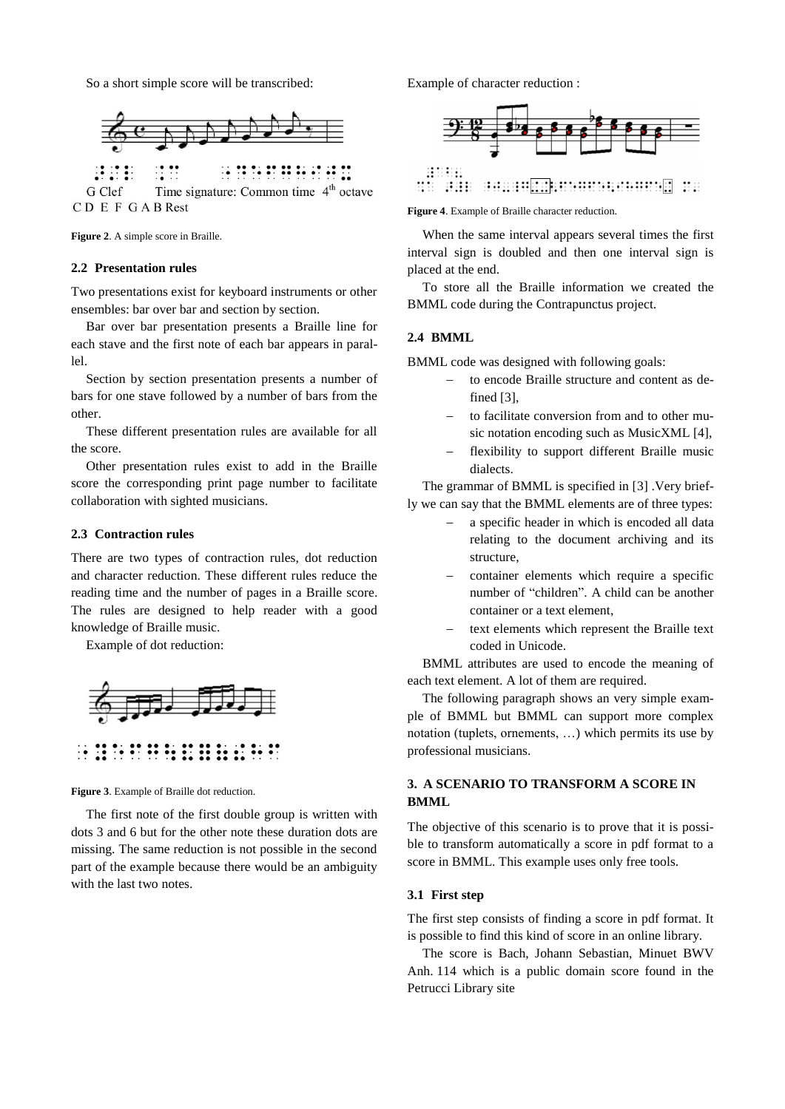So a short simple score will be transcribed:



<u> 18 18 21</u> **:: ::** Time signature: Common time 4<sup>th</sup> octave G Clef CD E F GABRest

**Figure 2**. A simple score in Braille.

## **2.2 Presentation rules**

Two presentations exist for keyboard instruments or other ensembles: bar over bar and section by section.

Bar over bar presentation presents a Braille line for each stave and the first note of each bar appears in paral $l<sub>e</sub>1$ 

Section by section presentation presents a number of bars for one stave followed by a number of bars from the other.

These different presentation rules are available for all the score.

Other presentation rules exist to add in the Braille score the corresponding print page number to facilitate collaboration with sighted musicians.

# **2.3 Contraction rules**

There are two types of contraction rules, dot reduction and character reduction. These different rules reduce the reading time and the number of pages in a Braille score. The rules are designed to help reader with a good knowledge of Braille music.

Example of dot reduction:



**Figure 3**. Example of Braille dot reduction.

The first note of the first double group is written with dots 3 and 6 but for the other note these duration dots are missing. The same reduction is not possible in the second part of the example because there would be an ambiguity with the last two notes.

Example of character reduction :



**Figure 4**. Example of Braille character reduction.

When the same interval appears several times the first interval sign is doubled and then one interval sign is placed at the end.

To store all the Braille information we created the BMML code during the Contrapunctus project.

## **2.4 BMML**

BMML code was designed with following goals:

- to encode Braille structure and content as defined [3],
- to facilitate conversion from and to other music notation encoding such as MusicXML [4],
- flexibility to support different Braille music dialects.

The grammar of BMML is specified in [3] .Very briefly we can say that the BMML elements are of three types:

- a specific header in which is encoded all data relating to the document archiving and its structure,
- container elements which require a specific number of "children". A child can be another container or a text element,
- text elements which represent the Braille text coded in Unicode.

BMML attributes are used to encode the meaning of each text element. A lot of them are required.

The following paragraph shows an very simple example of BMML but BMML can support more complex notation (tuplets, ornements, …) which permits its use by professional musicians.

# **3. A SCENARIO TO TRANSFORM A SCORE IN BMML**

The objective of this scenario is to prove that it is possible to transform automatically a score in pdf format to a score in BMML. This example uses only free tools.

#### **3.1 First step**

The first step consists of finding a score in pdf format. It is possible to find this kind of score in an online library.

The score is Bach, Johann Sebastian, Minuet BWV Anh. 114 which is a public domain score found in the Petrucci Library site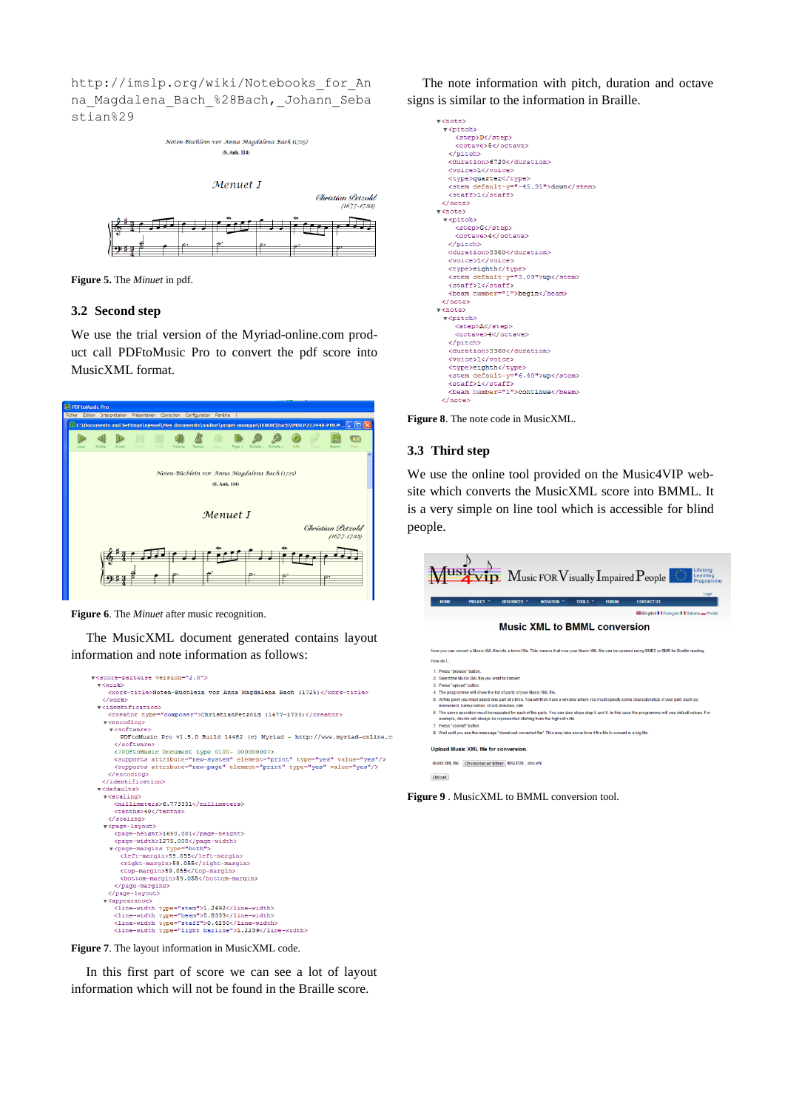[http://imslp.org/wiki/Notebooks\\_for\\_An](http://imslp.org/wiki/Notebooks_for_An-na_Magdalena_Bach_%28Bach,_Johann_Sebastian%29) na Magdalena Bach %28Bach, Johann Seba [stian%29](http://imslp.org/wiki/Notebooks_for_An-na_Magdalena_Bach_%28Bach,_Johann_Sebastian%29)



**Figure 5.** The *Minuet* in pdf.

## **3.2 Second step**

We use the trial version of the Myriad-online.com product call PDFtoMusic Pro to convert the pdf score into MusicXML format.



**Figure 6**. The *Minuet* after music recognition.

The MusicXML document generated contains layout information and note information as follows:



The note information with pitch, duration and octave signs is similar to the information in Braille.

| v≺note>                               |
|---------------------------------------|
| v <pitch></pitch>                     |
| <step>D</step>                        |
| <octave>5</octave>                    |
|                                       |
| <duration>6720</duration>             |
| <voice>1</voice>                      |
| <tvpe>quarter</tvpe>                  |
| <stem default-y="-45.31">down</stem>  |
| <staff>1</staff>                      |
| $\langle$ /note>                      |
| $\overline{\mathbf{v}}$ <note></note> |
| v <pitch></pitch>                     |
| <step>G</step>                        |
| <octave>4</octave>                    |
|                                       |
| <duration>3360</duration>             |
| <voice>1</voice>                      |
| <type>eighth</type>                   |
| <stem default-v="3.09">up</stem>      |
| <staff>1</staff>                      |
| <beam number="1">begin</beam>         |
| $\langle$ /note>                      |
| v <note></note>                       |
| v <pitch></pitch>                     |
| <step>A</step>                        |
| <octave>4</octave>                    |
|                                       |
| <duration>3360</duration>             |
| <voice>1</voice>                      |
| <type>eighth</type>                   |
| <stem default-y="6.40">up</stem>      |
| <staff>1</staff>                      |
| <beam number="1">continue</beam>      |
| $2$ $max$                             |

**Figure 8**. The note code in MusicXML.

## **3.3 Third step**

We use the online tool provided on the Music4VIP website which converts the MusicXML score into BMML. It is a very simple on line tool which is accessible for blind people.



**Upload Music XML file for conversion** 

Music XML file: Choisissez un fichier MSLP28...ano.xm Upload

**Figure 9** . MusicXML to BMML conversion tool.

**Figure 7**. The layout information in MusicXML code.

In this first part of score we can see a lot of layout information which will not be found in the Braille score.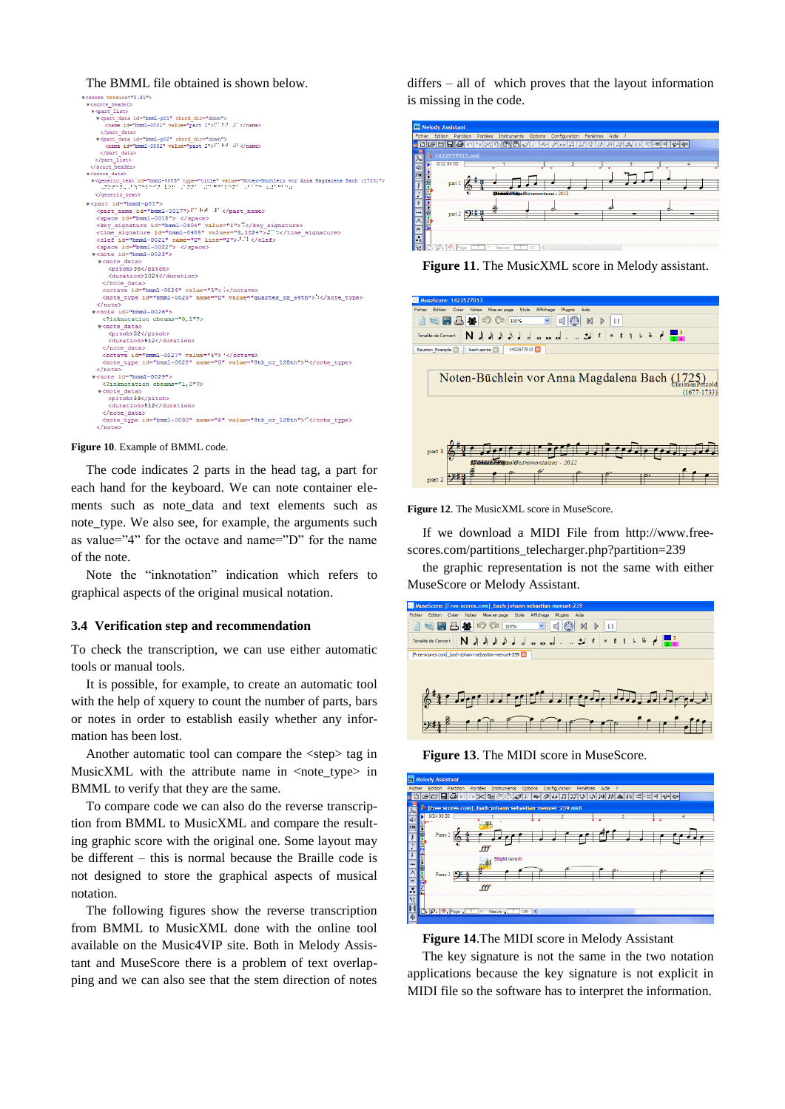#### The BMML file obtained is shown below.

| v <score version="0.81"></score>                                                                                                                                            |
|-----------------------------------------------------------------------------------------------------------------------------------------------------------------------------|
| v <score header=""></score>                                                                                                                                                 |
| v <part list=""></part>                                                                                                                                                     |
| v <part chord="" data="" dir="down" id="bmml-p01"></part>                                                                                                                   |
| <name id="bmml-0001" value="part 1">" 1" -" </name>                                                                                                                         |
|                                                                                                                                                                             |
| v <part chord="" data="" dir="down" id="bmml-p02"></part>                                                                                                                   |
| <name id="bmml-0002" value="part 2">"" ":" "' </name>                                                                                                                       |
|                                                                                                                                                                             |
|                                                                                                                                                                             |
|                                                                                                                                                                             |
| v <score data=""></score>                                                                                                                                                   |
| v <generic id="bmml-0003" text="" type="title" value="Noten-Büchlein vor Anna Magdalena Bach (1725)"><br/>vadenā. Viene nos izdelivisami varienis daine izviene n</generic> |
|                                                                                                                                                                             |
| v <part id="bmml-p01"></part>                                                                                                                                               |
| <part id="bmml-0017" name="">!" hd .!' </part>                                                                                                                              |
| <space id="bmml-0018"> </space>                                                                                                                                             |
| <key id="bmml-0404" signature="" value="1">"</key>                                                                                                                          |
| <time id="bmml-0405" signature="" values="3,1024">." :</time>                                                                                                               |
| <clef id="bmml-0021" line="2" name="G"> : </clef>                                                                                                                           |
| <space id="bmml-0022"> </space>                                                                                                                                             |
| v <note id="bmml-0023"></note>                                                                                                                                              |
| v <note data=""></note>                                                                                                                                                     |
| <pitch>36</pitch>                                                                                                                                                           |
| <duration>1024</duration>                                                                                                                                                   |
|                                                                                                                                                                             |
| <octave_id="bmml-0024"_value="5"> </octave_id="bmml-0024"_value="5">                                                                                                        |
| <note id="bmml-0025" name="D" type="" value="quarter or 64th"> </note>                                                                                                      |
| $\langle$ /note>                                                                                                                                                            |
| $x$ <note id="bmml-0026"></note>                                                                                                                                            |
| inknotation cbeams="0.1"?                                                                                                                                                   |
| v <note data=""></note>                                                                                                                                                     |
| <pitch>32</pitch>                                                                                                                                                           |
| <duration>512</duration>                                                                                                                                                    |
|                                                                                                                                                                             |
| <octave id="bmml-0027" value="4"> '</octave>                                                                                                                                |
| <note id="bmml-0028" name="G" type="" value="8th or 128th">"</note>                                                                                                         |
| $\langle$ /note>                                                                                                                                                            |
| v <note id="bmml-0029"></note>                                                                                                                                              |
| inknotation cbeams="1.0"?                                                                                                                                                   |
| v <note data=""></note>                                                                                                                                                     |
| <pitch>33</pitch>                                                                                                                                                           |
| <duration>512</duration>                                                                                                                                                    |
|                                                                                                                                                                             |
| <note id="bmml-0030" name="A" type="" value="8th or 128th"> </note>                                                                                                         |
| $\langle$ /note>                                                                                                                                                            |
|                                                                                                                                                                             |

#### **Figure 10**. Example of BMML code.

The code indicates 2 parts in the head tag, a part for each hand for the keyboard. We can note container elements such as note\_data and text elements such as note\_type. We also see, for example, the arguments such as value="4" for the octave and name="D" for the name of the note.

Note the "inknotation" indication which refers to graphical aspects of the original musical notation.

## **3.4 Verification step and recommendation**

To check the transcription, we can use either automatic tools or manual tools.

It is possible, for example, to create an automatic tool with the help of xquery to count the number of parts, bars or notes in order to establish easily whether any information has been lost.

Another automatic tool can compare the <step> tag in MusicXML with the attribute name in  $\langle$ note\_type $>$  in BMML to verify that they are the same.

To compare code we can also do the reverse transcription from BMML to MusicXML and compare the resulting graphic score with the original one. Some layout may be different – this is normal because the Braille code is not designed to store the graphical aspects of musical notation.

The following figures show the reverse transcription from BMML to MusicXML done with the online tool available on the Music4VIP site. Both in Melody Assistant and MuseScore there is a problem of text overlapping and we can also see that the stem direction of notes

differs – all of which proves that the layout information is missing in the code.



**Figure 11**. The MusicXML score in Melody assistant.



Figure 12. The MusicXML score in MuseScore.

If we download a MIDI File from [http://www.free](http://www.free-scores.com/partitions_telecharger.php?partition=239)[scores.com/partitions\\_telecharger.php?partition=239](http://www.free-scores.com/partitions_telecharger.php?partition=239)

the graphic representation is not the same with either MuseScore or Melody Assistant.







**Figure 14**.The MIDI score in Melody Assistant

The key signature is not the same in the two notation applications because the key signature is not explicit in MIDI file so the software has to interpret the information.